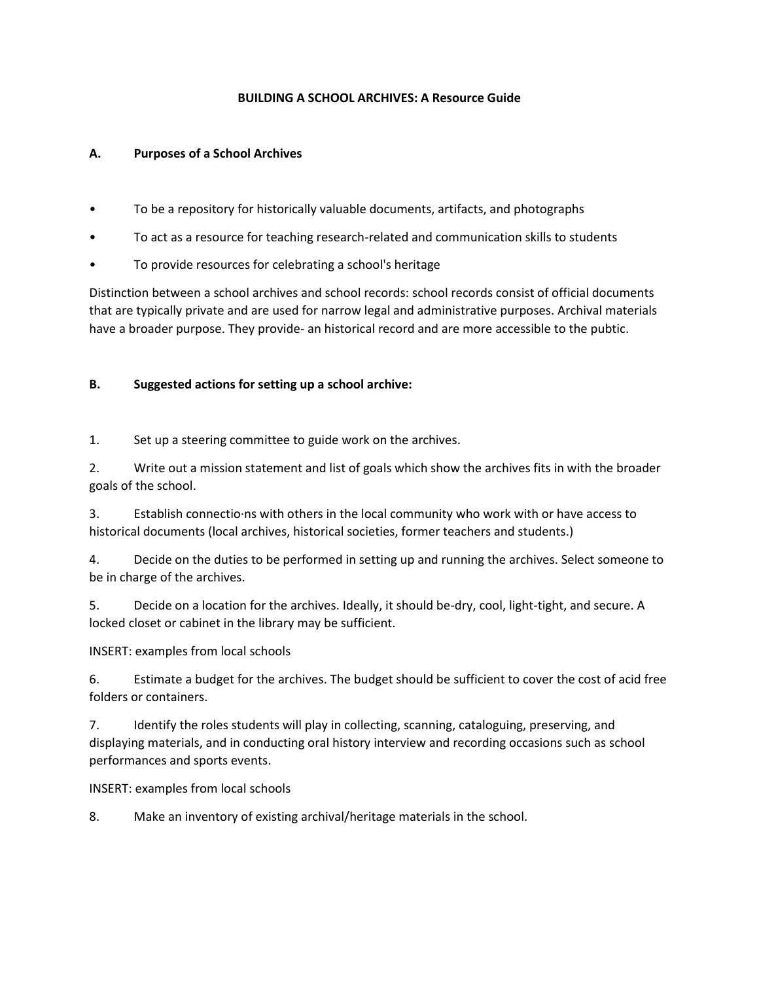## **BUILDING A SCHOOL ARCHIVES: A Resource Guide**

## **A. Purposes of a School Archives**

- To be a repository for historically valuable documents, artifacts, and photographs
- To act as a resource for teaching research-related and communication skills to students
- To provide resources for celebrating a school's heritage

Distinction between a school archives and school records: school records consist of official documents that are typically private and are used for narrow legal and administrative purposes. Archival materials have a broader purpose. They provide- an historical record and are more accessible to the pubtic.

## **B. Suggested actions for setting up a school archive:**

1. Set up a steering committee to guide work on the archives.

2. Write out a mission statement and list of goals which show the archives fits in with the broader goals of the school.

3. Establish connectio·ns with others in the local community who work with or have access to historical documents (local archives, historical societies, former teachers and students.)

4. Decide on the duties to be performed in setting up and running the archives. Select someone to be in charge of the archives.

5. Decide on a location for the archives. Ideally, it should be-dry, cool, light-tight, and secure. A locked closet or cabinet in the library may be sufficient.

INSERT: examples from local schools

6. Estimate a budget for the archives. The budget should be sufficient to cover the cost of acid free folders or containers.

7. Identify the roles students will play in collecting, scanning, cataloguing, preserving, and displaying materials, and in conducting oral history interview and recording occasions such as school performances and sports events.

INSERT: examples from local schools

8. Make an inventory of existing archival/heritage materials in the school.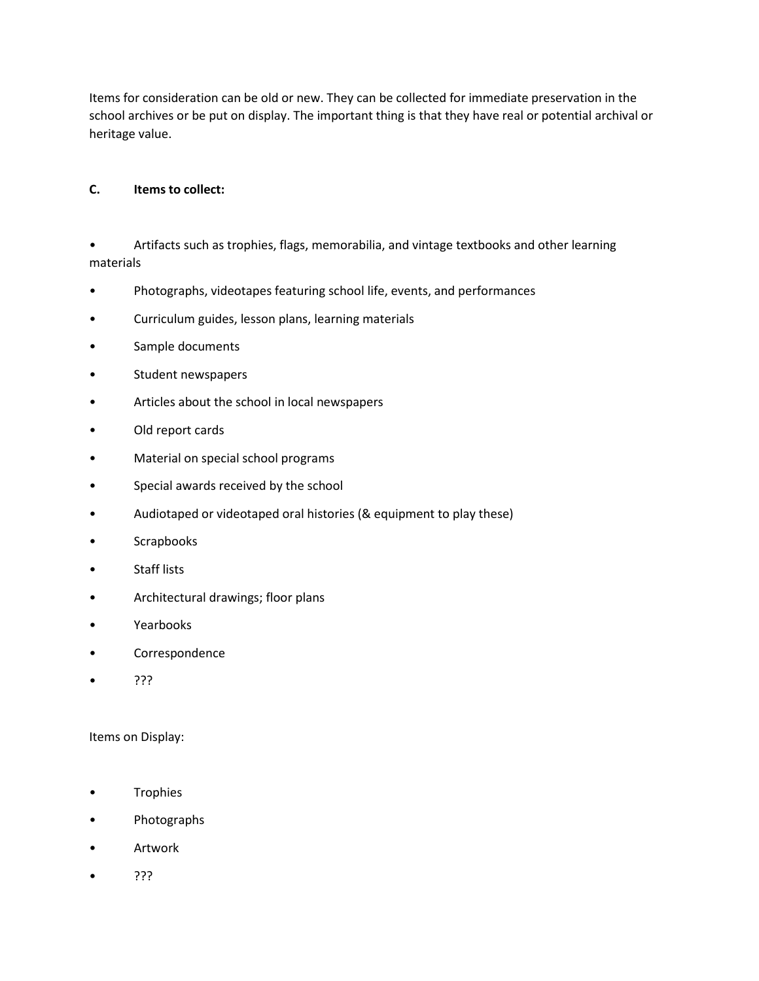Items for consideration can be old or new. They can be collected for immediate preservation in the school archives or be put on display. The important thing is that they have real or potential archival or heritage value.

# **C. Items to collect:**

• Artifacts such as trophies, flags, memorabilia, and vintage textbooks and other learning materials

- Photographs, videotapes featuring school life, events, and performances
- Curriculum guides, lesson plans, learning materials
- Sample documents
- Student newspapers
- Articles about the school in local newspapers
- Old report cards
- Material on special school programs
- Special awards received by the school
- Audiotaped or videotaped oral histories (& equipment to play these)
- Scrapbooks
- Staff lists
- Architectural drawings; floor plans
- Yearbooks
- Correspondence
- ???

#### Items on Display:

- Trophies
- Photographs
- Artwork
- ???